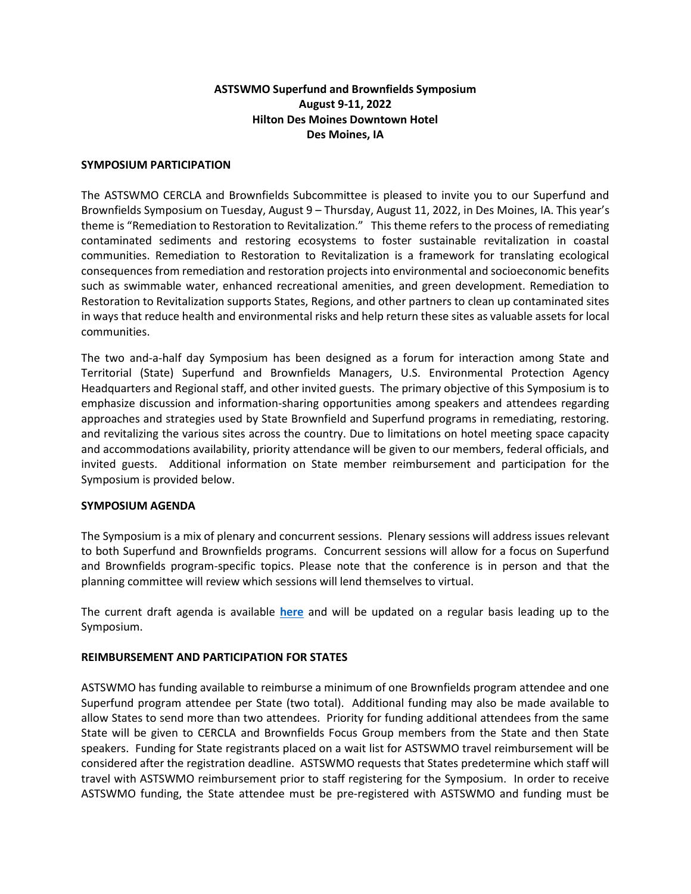# **ASTSWMO Superfund and Brownfields Symposium August 9-11, 2022 Hilton Des Moines Downtown Hotel Des Moines, IA**

### **SYMPOSIUM PARTICIPATION**

The ASTSWMO CERCLA and Brownfields Subcommittee is pleased to invite you to our Superfund and Brownfields Symposium on Tuesday, August 9 – Thursday, August 11, 2022, in Des Moines, IA. This year's theme is "Remediation to Restoration to Revitalization." This theme refers to the process of remediating contaminated sediments and restoring ecosystems to foster sustainable revitalization in coastal communities. Remediation to Restoration to Revitalization is a framework for translating ecological consequences from remediation and restoration projects into environmental and socioeconomic benefits such as swimmable water, enhanced recreational amenities, and green development. Remediation to Restoration to Revitalization supports States, Regions, and other partners to clean up contaminated sites in ways that reduce health and environmental risks and help return these sites as valuable assets for local communities.

The two and-a-half day Symposium has been designed as a forum for interaction among State and Territorial (State) Superfund and Brownfields Managers, U.S. Environmental Protection Agency Headquarters and Regional staff, and other invited guests. The primary objective of this Symposium is to emphasize discussion and information-sharing opportunities among speakers and attendees regarding approaches and strategies used by State Brownfield and Superfund programs in remediating, restoring. and revitalizing the various sites across the country. Due to limitations on hotel meeting space capacity and accommodations availability, priority attendance will be given to our members, federal officials, and invited guests. Additional information on State member reimbursement and participation for the Symposium is provided below.

#### **SYMPOSIUM AGENDA**

The Symposium is a mix of plenary and concurrent sessions. Plenary sessions will address issues relevant to both Superfund and Brownfields programs. Concurrent sessions will allow for a focus on Superfund and Brownfields program-specific topics. Please note that the conference is in person and that the planning committee will review which sessions will lend themselves to virtual.

The current draft agenda is available **[here](https://astswmo.org/files/Meetings/2022/cabs-symposium/agenda.pdf)** and will be updated on a regular basis leading up to the Symposium.

# **REIMBURSEMENT AND PARTICIPATION FOR STATES**

ASTSWMO has funding available to reimburse a minimum of one Brownfields program attendee and one Superfund program attendee per State (two total). Additional funding may also be made available to allow States to send more than two attendees. Priority for funding additional attendees from the same State will be given to CERCLA and Brownfields Focus Group members from the State and then State speakers. Funding for State registrants placed on a wait list for ASTSWMO travel reimbursement will be considered after the registration deadline. ASTSWMO requests that States predetermine which staff will travel with ASTSWMO reimbursement prior to staff registering for the Symposium. In order to receive ASTSWMO funding, the State attendee must be pre-registered with ASTSWMO and funding must be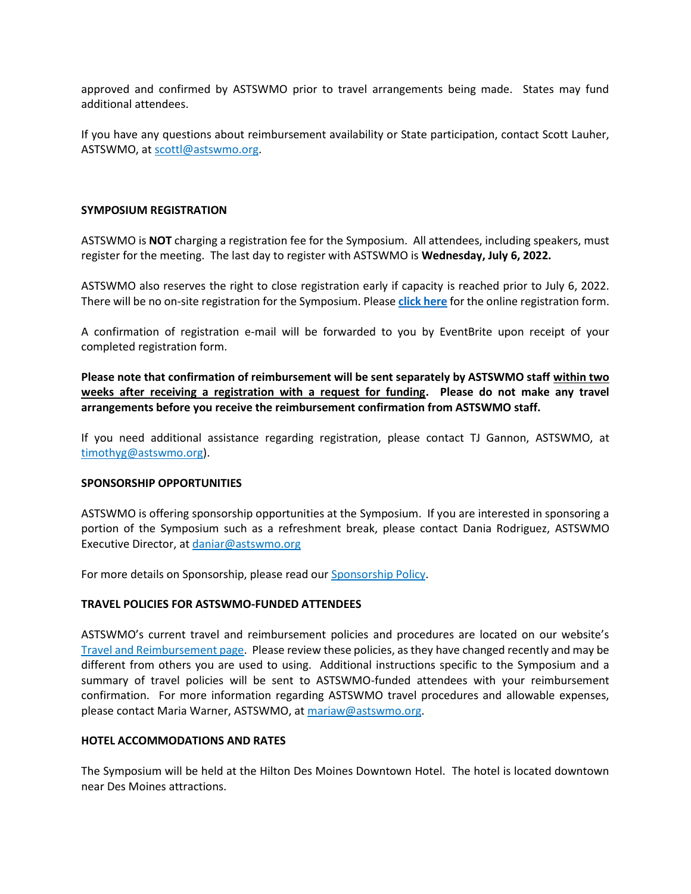approved and confirmed by ASTSWMO prior to travel arrangements being made. States may fund additional attendees.

If you have any questions about reimbursement availability or State participation, contact Scott Lauher, ASTSWMO, at [scottl@astswmo.org.](mailto:scottl@astswmo.org)

### **SYMPOSIUM REGISTRATION**

ASTSWMO is **NOT** charging a registration fee for the Symposium. All attendees, including speakers, must register for the meeting. The last day to register with ASTSWMO is **Wednesday, July 6, 2022.**

ASTSWMO also reserves the right to close registration early if capacity is reached prior to July 6, 2022. There will be no on-site registration for the Symposium. Please **[click here](https://www.eventbrite.com/e/2022-astswmo-superfund-and-brownfields-symposium-tickets-336697119147)** for the online registration form.

A confirmation of registration e-mail will be forwarded to you by EventBrite upon receipt of your completed registration form.

**Please note that confirmation of reimbursement will be sent separately by ASTSWMO staff within two weeks after receiving a registration with a request for funding. Please do not make any travel arrangements before you receive the reimbursement confirmation from ASTSWMO staff.** 

If you need additional assistance regarding registration, please contact TJ Gannon, ASTSWMO, at [timothyg@astswmo.org\)](mailto:timothyg@astswmo.org).

#### **SPONSORSHIP OPPORTUNITIES**

ASTSWMO is offering sponsorship opportunities at the Symposium. If you are interested in sponsoring a portion of the Symposium such as a refreshment break, please contact Dania Rodriguez, ASTSWMO Executive Director, a[t daniar@astswmo.org](mailto:daniar@astswmo.org)

For more details on Sponsorship, please read ou[r Sponsorship Policy.](http://astswmo.org/files/policies/Sponsorship-Policy.pdf)

#### **TRAVEL POLICIES FOR ASTSWMO-FUNDED ATTENDEES**

ASTSWMO's current travel and reimbursement policies and procedures are located on our website's [Travel and Reimbursement page.](http://astswmo.org/files/policies/ASTSWMO_Travel_Policy.pdf) Please review these policies, as they have changed recently and may be different from others you are used to using. Additional instructions specific to the Symposium and a summary of travel policies will be sent to ASTSWMO-funded attendees with your reimbursement confirmation. For more information regarding ASTSWMO travel procedures and allowable expenses, please contact Maria Warner, ASTSWMO, at [mariaw@astswmo.org.](mailto:mariaw@astswmo.org)

### **HOTEL ACCOMMODATIONS AND RATES**

The Symposium will be held at the Hilton Des Moines Downtown Hotel. The hotel is located downtown near Des Moines attractions.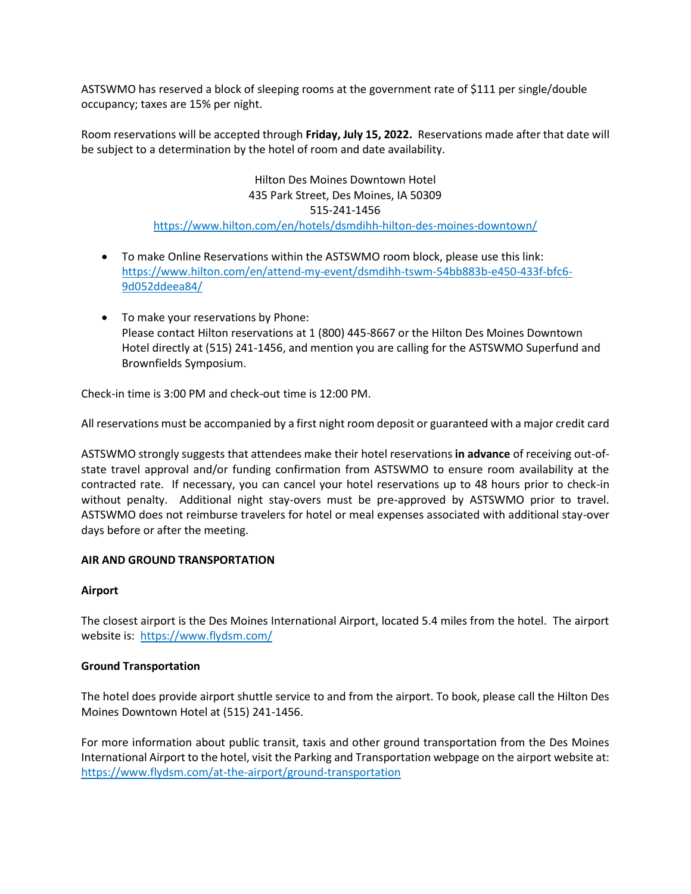ASTSWMO has reserved a block of sleeping rooms at the government rate of \$111 per single/double occupancy; taxes are 15% per night.

Room reservations will be accepted through **Friday, July 15, 2022.** Reservations made after that date will be subject to a determination by the hotel of room and date availability.

> Hilton Des Moines Downtown Hotel 435 Park Street, Des Moines, IA 50309 515-241-1456 <https://www.hilton.com/en/hotels/dsmdihh-hilton-des-moines-downtown/>

- To make Online Reservations within the ASTSWMO room block, please use this link: [https://www.hilton.com/en/attend-my-event/dsmdihh-tswm-54bb883b-e450-433f-bfc6-](https://www.hilton.com/en/attend-my-event/dsmdihh-tswm-54bb883b-e450-433f-bfc6-9d052ddeea84/) [9d052ddeea84/](https://www.hilton.com/en/attend-my-event/dsmdihh-tswm-54bb883b-e450-433f-bfc6-9d052ddeea84/)
- To make your reservations by Phone: Please contact Hilton reservations at 1 (800) 445-8667 or the Hilton Des Moines Downtown Hotel directly at (515) 241-1456, and mention you are calling for the ASTSWMO Superfund and Brownfields Symposium.

Check-in time is 3:00 PM and check-out time is 12:00 PM.

All reservations must be accompanied by a first night room deposit or guaranteed with a major credit card

ASTSWMO strongly suggests that attendees make their hotel reservations **in advance** of receiving out-ofstate travel approval and/or funding confirmation from ASTSWMO to ensure room availability at the contracted rate. If necessary, you can cancel your hotel reservations up to 48 hours prior to check-in without penalty. Additional night stay-overs must be pre-approved by ASTSWMO prior to travel. ASTSWMO does not reimburse travelers for hotel or meal expenses associated with additional stay-over days before or after the meeting.

# **AIR AND GROUND TRANSPORTATION**

# **Airport**

The closest airport is the Des Moines International Airport, located 5.4 miles from the hotel. The airport website is: <https://www.flydsm.com/>

# **Ground Transportation**

The hotel does provide airport shuttle service to and from the airport. To book, please call the Hilton Des Moines Downtown Hotel at (515) 241-1456.

For more information about public transit, taxis and other ground transportation from the Des Moines International Airport to the hotel, visit the Parking and Transportation webpage on the airport website at: <https://www.flydsm.com/at-the-airport/ground-transportation>